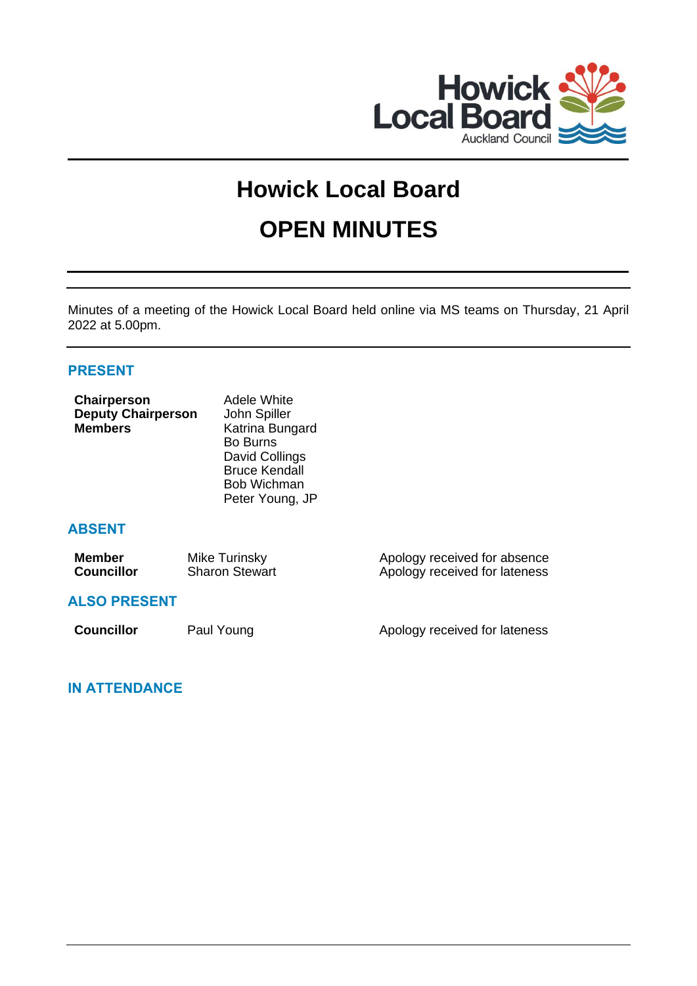

# **Howick Local Board OPEN MINUTES**

Minutes of a meeting of the Howick Local Board held online via MS teams on Thursday, 21 April 2022 at 5.00pm.

## **PRESENT**

| Chairperson<br><b>Deputy Chairperson</b><br><b>Members</b> | Adele White<br>John Spiller<br>Katrina Bungard<br><b>Bo Burns</b><br>David Collings<br><b>Bruce Kendall</b><br>Bob Wichman<br>Peter Young, JP |                                                               |
|------------------------------------------------------------|-----------------------------------------------------------------------------------------------------------------------------------------------|---------------------------------------------------------------|
| <b>ABSENT</b>                                              |                                                                                                                                               |                                                               |
| <b>Member</b><br><b>Councillor</b>                         | Mike Turinsky<br><b>Sharon Stewart</b>                                                                                                        | Apology received for absence<br>Apology received for lateness |
| <b>ALSO PRESENT</b>                                        |                                                                                                                                               |                                                               |
| <b>Councillor</b>                                          | Paul Young                                                                                                                                    | Apology received for lateness                                 |
|                                                            |                                                                                                                                               |                                                               |

**IN ATTENDANCE**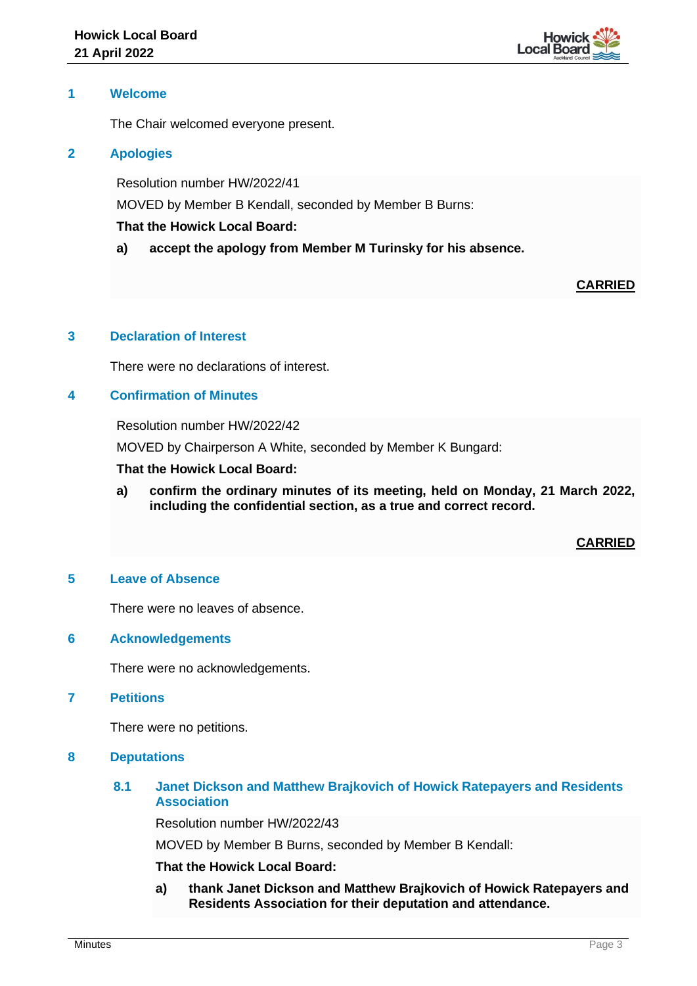

### **1 Welcome**

The Chair welcomed everyone present.

### **2 Apologies**

Resolution number HW/2022/41

MOVED by Member B Kendall, seconded by Member B Burns:

### **That the Howick Local Board:**

**a) accept the apology from Member M Turinsky for his absence.**

## **CARRIED**

## **3 Declaration of Interest**

There were no declarations of interest.

## **4 Confirmation of Minutes**

Resolution number HW/2022/42

MOVED by Chairperson A White, seconded by Member K Bungard:

## **That the Howick Local Board:**

**a) confirm the ordinary minutes of its meeting, held on Monday, 21 March 2022, including the confidential section, as a true and correct record.**

## **CARRIED**

#### **5 Leave of Absence**

There were no leaves of absence.

#### **6 Acknowledgements**

There were no acknowledgements.

#### **7 Petitions**

There were no petitions.

#### **8 Deputations**

## **8.1 Janet Dickson and Matthew Brajkovich of Howick Ratepayers and Residents Association**

Resolution number HW/2022/43

MOVED by Member B Burns, seconded by Member B Kendall:

## **That the Howick Local Board:**

**a) thank Janet Dickson and Matthew Brajkovich of Howick Ratepayers and Residents Association for their deputation and attendance.**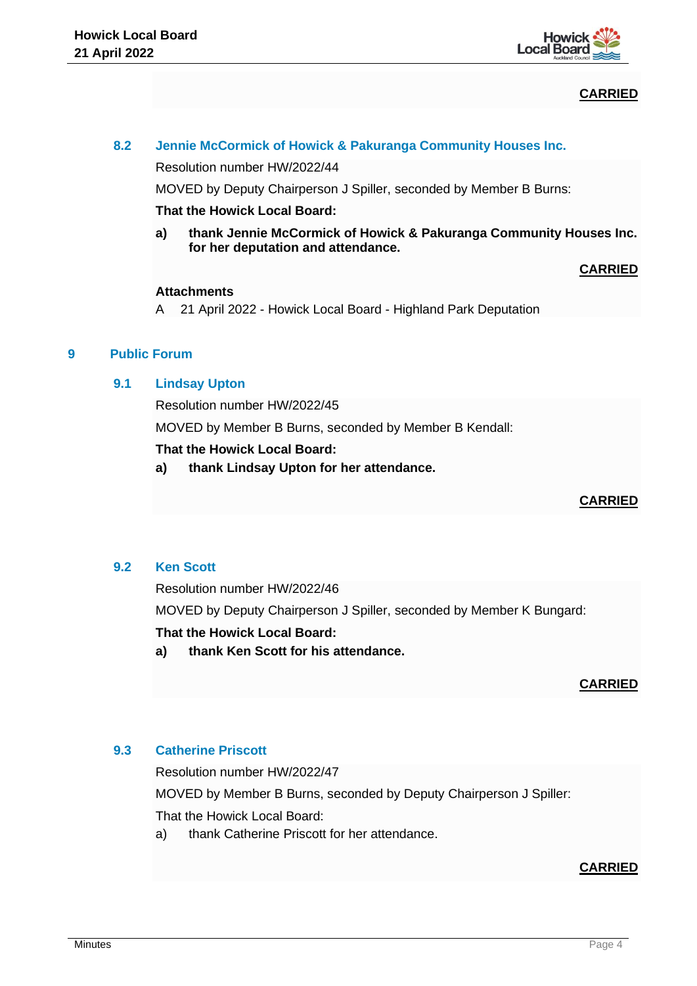

# **CARRIED**

Resolution number HW/2022/44

MOVED by Deputy Chairperson J Spiller, seconded by Member B Burns:

#### **That the Howick Local Board:**

**a) thank Jennie McCormick of Howick & Pakuranga Community Houses Inc. for her deputation and attendance.**

## **CARRIED**

### **Attachments**

A 21 April 2022 - Howick Local Board - Highland Park Deputation

## **9 Public Forum**

### **9.1 Lindsay Upton**

Resolution number HW/2022/45

MOVED by Member B Burns, seconded by Member B Kendall:

## **That the Howick Local Board:**

**a) thank Lindsay Upton for her attendance.**

## **CARRIED**

## **9.2 Ken Scott**

Resolution number HW/2022/46

MOVED by Deputy Chairperson J Spiller, seconded by Member K Bungard:

#### **That the Howick Local Board:**

**a) thank Ken Scott for his attendance.**

## **CARRIED**

## **9.3 Catherine Priscott**

Resolution number HW/2022/47 MOVED by Member B Burns, seconded by Deputy Chairperson J Spiller:

That the Howick Local Board:

a) thank Catherine Priscott for her attendance.

## **CARRIED**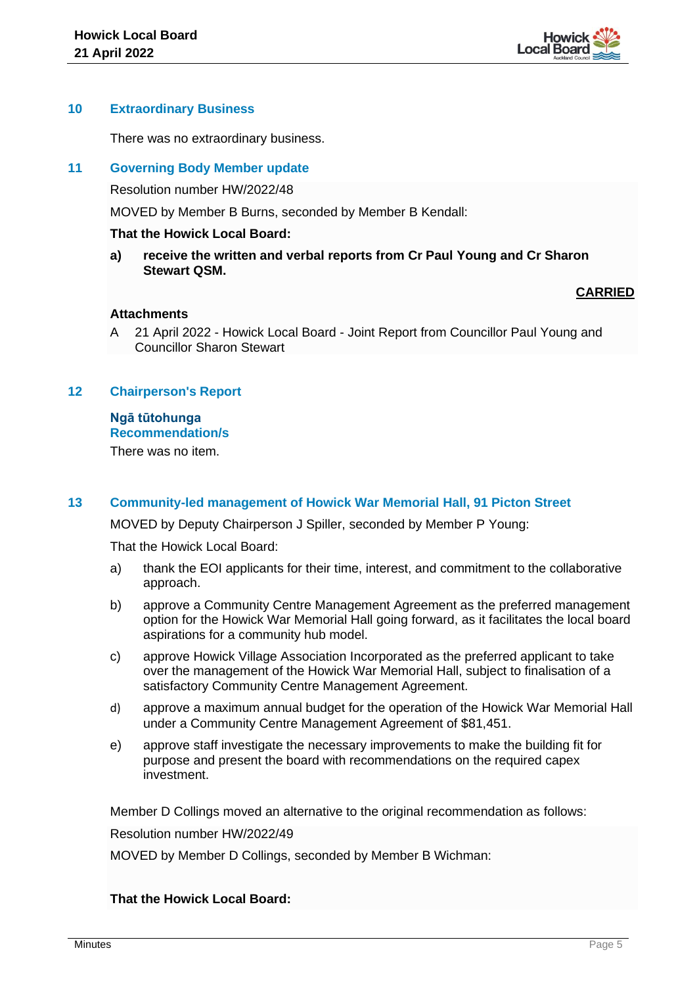

#### **10 Extraordinary Business**

There was no extraordinary business.

## **11 Governing Body Member update**

Resolution number HW/2022/48

MOVED by Member B Burns, seconded by Member B Kendall:

#### **That the Howick Local Board:**

**a) receive the written and verbal reports from Cr Paul Young and Cr Sharon Stewart QSM.**

## **CARRIED**

## **Attachments**

A 21 April 2022 - Howick Local Board - Joint Report from Councillor Paul Young and Councillor Sharon Stewart

### **12 Chairperson's Report**

#### **Ngā tūtohunga Recommendation/s**

There was no item.

## **13 Community-led management of Howick War Memorial Hall, 91 Picton Street**

MOVED by Deputy Chairperson J Spiller, seconded by Member P Young:

That the Howick Local Board:

- a) thank the EOI applicants for their time, interest, and commitment to the collaborative approach.
- b) approve a Community Centre Management Agreement as the preferred management option for the Howick War Memorial Hall going forward, as it facilitates the local board aspirations for a community hub model.
- c) approve Howick Village Association Incorporated as the preferred applicant to take over the management of the Howick War Memorial Hall, subject to finalisation of a satisfactory Community Centre Management Agreement.
- d) approve a maximum annual budget for the operation of the Howick War Memorial Hall under a Community Centre Management Agreement of \$81,451.
- e) approve staff investigate the necessary improvements to make the building fit for purpose and present the board with recommendations on the required capex investment.

Member D Collings moved an alternative to the original recommendation as follows:

Resolution number HW/2022/49

MOVED by Member D Collings, seconded by Member B Wichman:

## **That the Howick Local Board:**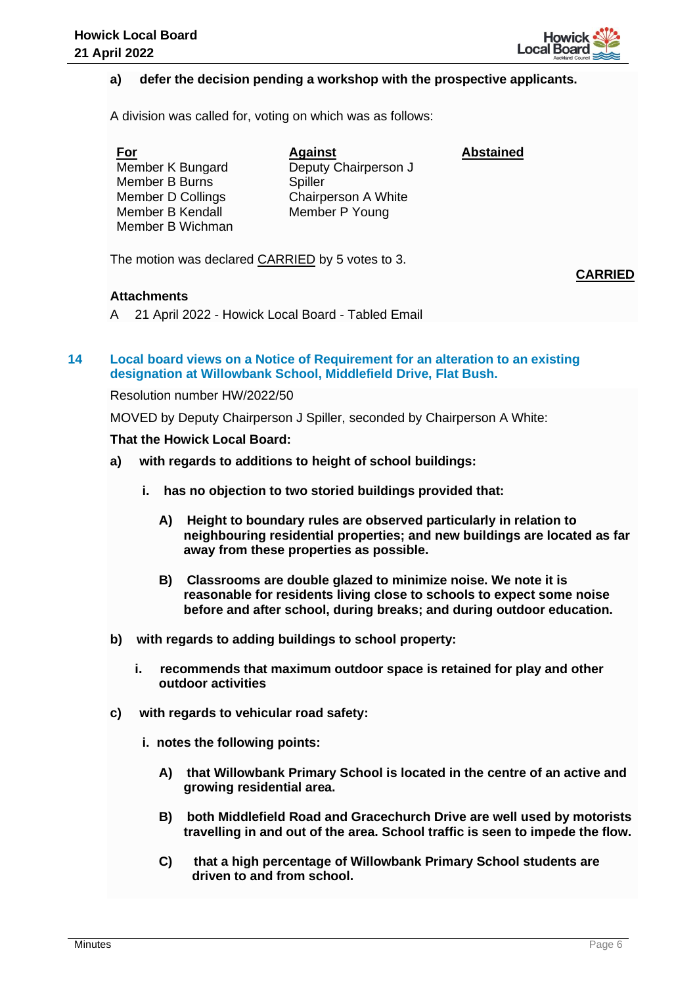

## **a) defer the decision pending a workshop with the prospective applicants.**

A division was called for, voting on which was as follows:

**For** Member K Bungard Member B Burns Member D Collings Member B Kendall Member B Wichman **Against** Deputy Chairperson J **Spiller** Chairperson A White Member P Young **Abstained**

The motion was declared CARRIED by 5 votes to 3.

**CARRIED**

### **Attachments**

A 21 April 2022 - Howick Local Board - Tabled Email

## **14 Local board views on a Notice of Requirement for an alteration to an existing designation at Willowbank School, Middlefield Drive, Flat Bush.**

Resolution number HW/2022/50

MOVED by Deputy Chairperson J Spiller, seconded by Chairperson A White:

#### **That the Howick Local Board:**

- **a) with regards to additions to height of school buildings:**
	- **i. has no objection to two storied buildings provided that:**
		- **A) Height to boundary rules are observed particularly in relation to neighbouring residential properties; and new buildings are located as far away from these properties as possible.**
		- **B) Classrooms are double glazed to minimize noise. We note it is reasonable for residents living close to schools to expect some noise before and after school, during breaks; and during outdoor education.**
- **b) with regards to adding buildings to school property:**
	- **i. recommends that maximum outdoor space is retained for play and other outdoor activities**
- **c) with regards to vehicular road safety:**
	- **i. notes the following points:**
		- **A) that Willowbank Primary School is located in the centre of an active and growing residential area.**
		- **B) both Middlefield Road and Gracechurch Drive are well used by motorists travelling in and out of the area. School traffic is seen to impede the flow.**
		- **C) that a high percentage of Willowbank Primary School students are driven to and from school.**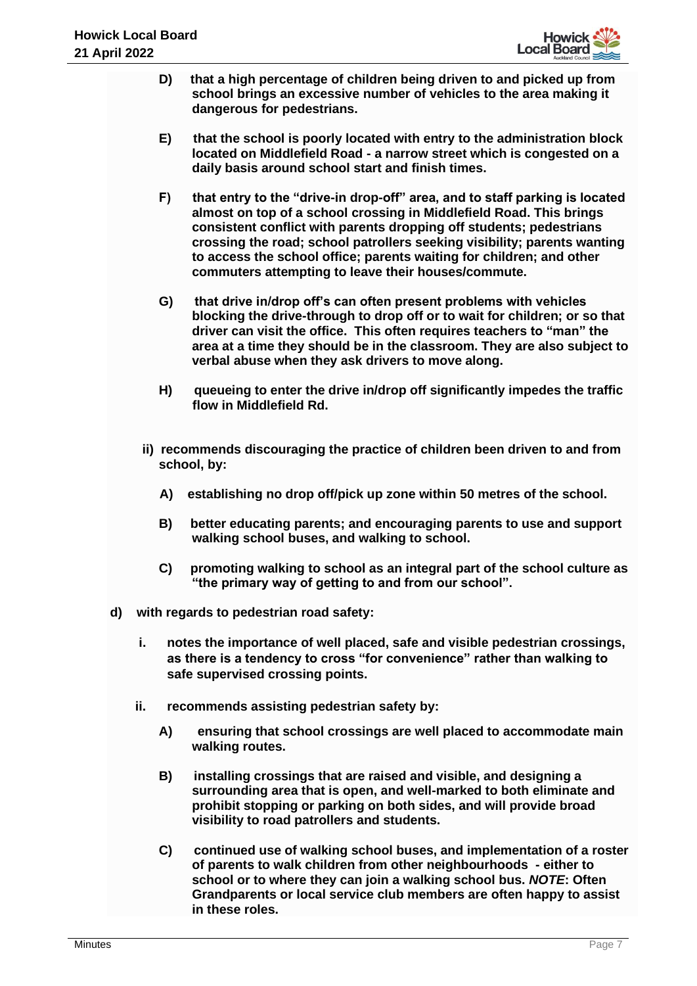

- **D) that a high percentage of children being driven to and picked up from school brings an excessive number of vehicles to the area making it dangerous for pedestrians.**
- **E) that the school is poorly located with entry to the administration block located on Middlefield Road - a narrow street which is congested on a daily basis around school start and finish times.**
- **F) that entry to the "drive-in drop-off" area, and to staff parking is located almost on top of a school crossing in Middlefield Road. This brings consistent conflict with parents dropping off students; pedestrians crossing the road; school patrollers seeking visibility; parents wanting to access the school office; parents waiting for children; and other commuters attempting to leave their houses/commute.**
- **G) that drive in/drop off's can often present problems with vehicles blocking the drive-through to drop off or to wait for children; or so that driver can visit the office. This often requires teachers to "man" the area at a time they should be in the classroom. They are also subject to verbal abuse when they ask drivers to move along.**
- **H) queueing to enter the drive in/drop off significantly impedes the traffic flow in Middlefield Rd.**
- **ii) recommends discouraging the practice of children been driven to and from school, by:**
	- **A) establishing no drop off/pick up zone within 50 metres of the school.**
	- **B) better educating parents; and encouraging parents to use and support walking school buses, and walking to school.**
	- **C) promoting walking to school as an integral part of the school culture as "the primary way of getting to and from our school".**
- **d) with regards to pedestrian road safety:**
	- **i. notes the importance of well placed, safe and visible pedestrian crossings, as there is a tendency to cross "for convenience" rather than walking to safe supervised crossing points.**
	- **ii. recommends assisting pedestrian safety by:**
		- **A) ensuring that school crossings are well placed to accommodate main walking routes.**
		- **B) installing crossings that are raised and visible, and designing a surrounding area that is open, and well-marked to both eliminate and prohibit stopping or parking on both sides, and will provide broad visibility to road patrollers and students.**
		- **C) continued use of walking school buses, and implementation of a roster of parents to walk children from other neighbourhoods - either to school or to where they can join a walking school bus.** *NOTE***: Often Grandparents or local service club members are often happy to assist in these roles.**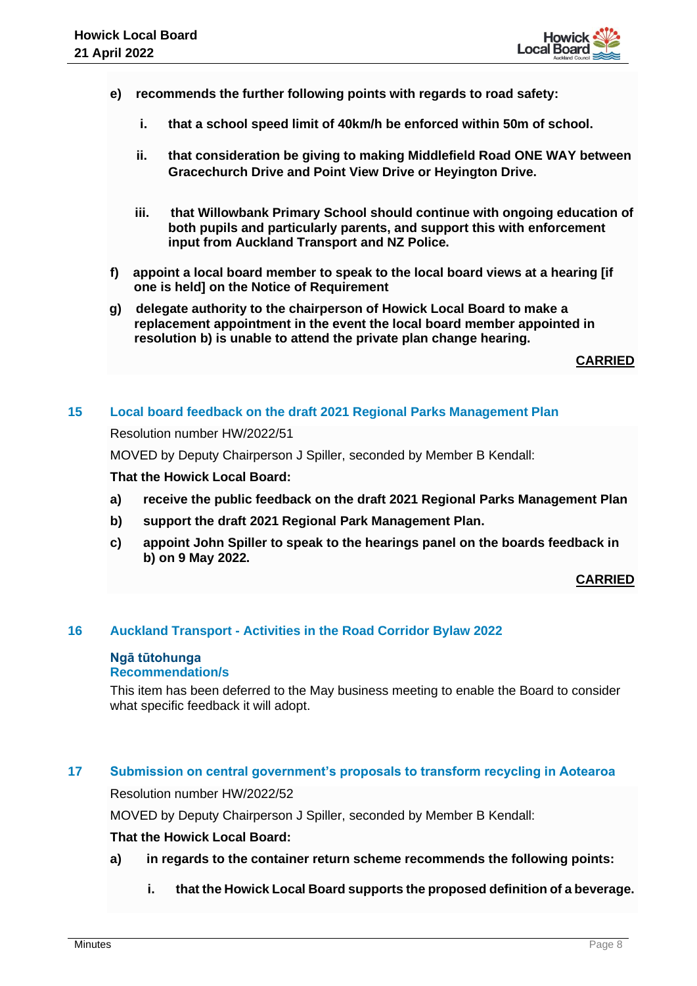

- **e) recommends the further following points with regards to road safety:**
	- **i. that a school speed limit of 40km/h be enforced within 50m of school.**
	- **ii. that consideration be giving to making Middlefield Road ONE WAY between Gracechurch Drive and Point View Drive or Heyington Drive.**
	- **iii. that Willowbank Primary School should continue with ongoing education of both pupils and particularly parents, and support this with enforcement input from Auckland Transport and NZ Police.**
- **f) appoint a local board member to speak to the local board views at a hearing [if one is held] on the Notice of Requirement**
- **g) delegate authority to the chairperson of Howick Local Board to make a replacement appointment in the event the local board member appointed in resolution b) is unable to attend the private plan change hearing.**

**CARRIED**

#### **15 Local board feedback on the draft 2021 Regional Parks Management Plan**

Resolution number HW/2022/51

MOVED by Deputy Chairperson J Spiller, seconded by Member B Kendall:

#### **That the Howick Local Board:**

- **a) receive the public feedback on the draft 2021 Regional Parks Management Plan**
- **b) support the draft 2021 Regional Park Management Plan.**
- **c) appoint John Spiller to speak to the hearings panel on the boards feedback in b) on 9 May 2022.**

#### **CARRIED**

#### **16 Auckland Transport - Activities in the Road Corridor Bylaw 2022**

# **Ngā tūtohunga**

# **Recommendation/s**

This item has been deferred to the May business meeting to enable the Board to consider what specific feedback it will adopt.

## **17 Submission on central government's proposals to transform recycling in Aotearoa**

Resolution number HW/2022/52

MOVED by Deputy Chairperson J Spiller, seconded by Member B Kendall:

#### **That the Howick Local Board:**

- **a) in regards to the container return scheme recommends the following points:**
	- **i. that the Howick Local Board supports the proposed definition of a beverage.**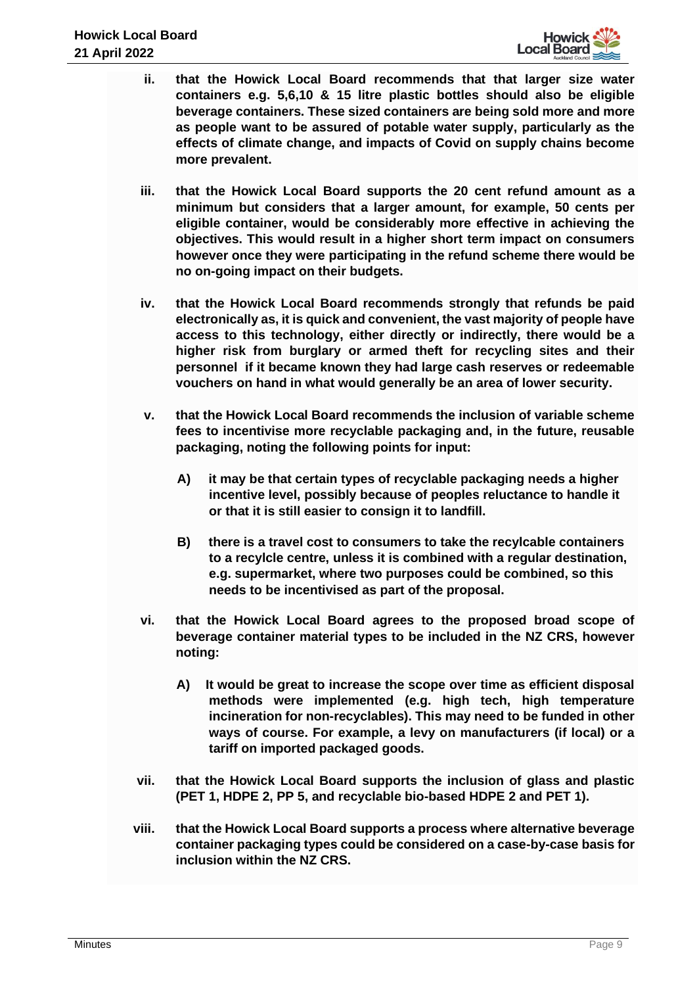

- **ii. that the Howick Local Board recommends that that larger size water containers e.g. 5,6,10 & 15 litre plastic bottles should also be eligible beverage containers. These sized containers are being sold more and more as people want to be assured of potable water supply, particularly as the effects of climate change, and impacts of Covid on supply chains become more prevalent.**
- **iii. that the Howick Local Board supports the 20 cent refund amount as a minimum but considers that a larger amount, for example, 50 cents per eligible container, would be considerably more effective in achieving the objectives. This would result in a higher short term impact on consumers however once they were participating in the refund scheme there would be no on-going impact on their budgets.**
- **iv. that the Howick Local Board recommends strongly that refunds be paid electronically as, it is quick and convenient, the vast majority of people have access to this technology, either directly or indirectly, there would be a higher risk from burglary or armed theft for recycling sites and their personnel if it became known they had large cash reserves or redeemable vouchers on hand in what would generally be an area of lower security.**
- **v. that the Howick Local Board recommends the inclusion of variable scheme fees to incentivise more recyclable packaging and, in the future, reusable packaging, noting the following points for input:**
	- **A) it may be that certain types of recyclable packaging needs a higher incentive level, possibly because of peoples reluctance to handle it or that it is still easier to consign it to landfill.**
	- **B) there is a travel cost to consumers to take the recylcable containers to a recylcle centre, unless it is combined with a regular destination, e.g. supermarket, where two purposes could be combined, so this needs to be incentivised as part of the proposal.**
- **vi. that the Howick Local Board agrees to the proposed broad scope of beverage container material types to be included in the NZ CRS, however noting:**
	- **A) It would be great to increase the scope over time as efficient disposal methods were implemented (e.g. high tech, high temperature incineration for non-recyclables). This may need to be funded in other ways of course. For example, a levy on manufacturers (if local) or a tariff on imported packaged goods.**
- **vii. that the Howick Local Board supports the inclusion of glass and plastic (PET 1, HDPE 2, PP 5, and recyclable bio-based HDPE 2 and PET 1).**
- **viii. that the Howick Local Board supports a process where alternative beverage container packaging types could be considered on a case-by-case basis for inclusion within the NZ CRS.**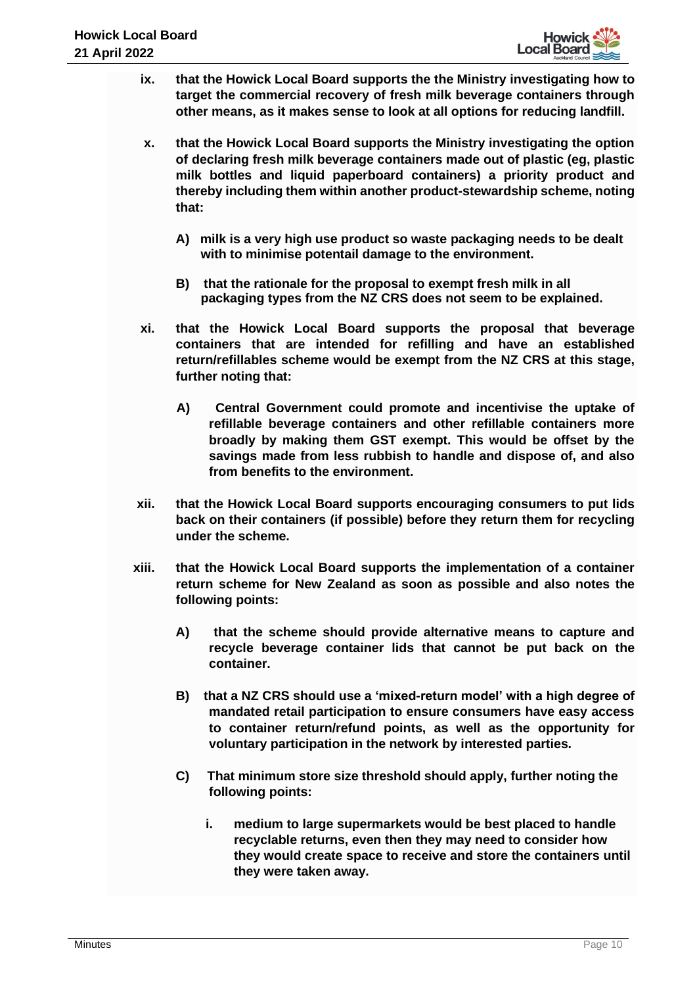

- **ix. that the Howick Local Board supports the the Ministry investigating how to target the commercial recovery of fresh milk beverage containers through other means, as it makes sense to look at all options for reducing landfill.**
- **x. that the Howick Local Board supports the Ministry investigating the option of declaring fresh milk beverage containers made out of plastic (eg, plastic milk bottles and liquid paperboard containers) a priority product and thereby including them within another product-stewardship scheme, noting that:**
	- **A) milk is a very high use product so waste packaging needs to be dealt with to minimise potentail damage to the environment.**
	- **B) that the rationale for the proposal to exempt fresh milk in all packaging types from the NZ CRS does not seem to be explained.**
- **xi. that the Howick Local Board supports the proposal that beverage containers that are intended for refilling and have an established return/refillables scheme would be exempt from the NZ CRS at this stage, further noting that:**
	- **A) Central Government could promote and incentivise the uptake of refillable beverage containers and other refillable containers more broadly by making them GST exempt. This would be offset by the savings made from less rubbish to handle and dispose of, and also from benefits to the environment.**
- **xii. that the Howick Local Board supports encouraging consumers to put lids back on their containers (if possible) before they return them for recycling under the scheme.**
- **xiii. that the Howick Local Board supports the implementation of a container return scheme for New Zealand as soon as possible and also notes the following points:**
	- **A) that the scheme should provide alternative means to capture and recycle beverage container lids that cannot be put back on the container.**
	- **B) that a NZ CRS should use a 'mixed-return model' with a high degree of mandated retail participation to ensure consumers have easy access to container return/refund points, as well as the opportunity for voluntary participation in the network by interested parties.**
	- **C) That minimum store size threshold should apply, further noting the following points:**
		- **i. medium to large supermarkets would be best placed to handle recyclable returns, even then they may need to consider how they would create space to receive and store the containers until they were taken away.**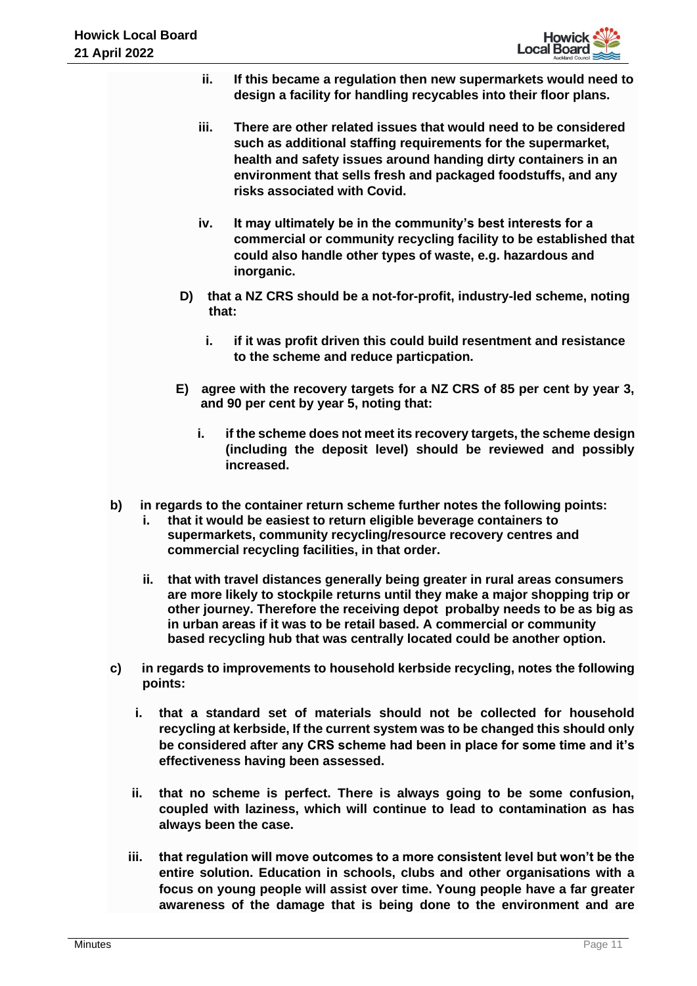

- **ii. If this became a regulation then new supermarkets would need to design a facility for handling recycables into their floor plans.**
- **iii. There are other related issues that would need to be considered such as additional staffing requirements for the supermarket, health and safety issues around handing dirty containers in an environment that sells fresh and packaged foodstuffs, and any risks associated with Covid.**
- **iv. It may ultimately be in the community's best interests for a commercial or community recycling facility to be established that could also handle other types of waste, e.g. hazardous and inorganic.**
- **D) that a NZ CRS should be a not-for-profit, industry-led scheme, noting that:**
	- **i. if it was profit driven this could build resentment and resistance to the scheme and reduce particpation.**
- **E) agree with the recovery targets for a NZ CRS of 85 per cent by year 3, and 90 per cent by year 5, noting that:**
	- **i. if the scheme does not meet its recovery targets, the scheme design (including the deposit level) should be reviewed and possibly increased.**
- **b) in regards to the container return scheme further notes the following points:**
	- **i. that it would be easiest to return eligible beverage containers to supermarkets, community recycling/resource recovery centres and commercial recycling facilities, in that order.**
	- **ii. that with travel distances generally being greater in rural areas consumers are more likely to stockpile returns until they make a major shopping trip or other journey. Therefore the receiving depot probalby needs to be as big as in urban areas if it was to be retail based. A commercial or community based recycling hub that was centrally located could be another option.**
- **c) in regards to improvements to household kerbside recycling, notes the following points:**
	- **i. that a standard set of materials should not be collected for household recycling at kerbside, If the current system was to be changed this should only be considered after any CRS scheme had been in place for some time and it's effectiveness having been assessed.**
	- **ii. that no scheme is perfect. There is always going to be some confusion, coupled with laziness, which will continue to lead to contamination as has always been the case.**
	- **iii. that regulation will move outcomes to a more consistent level but won't be the entire solution. Education in schools, clubs and other organisations with a focus on young people will assist over time. Young people have a far greater awareness of the damage that is being done to the environment and are**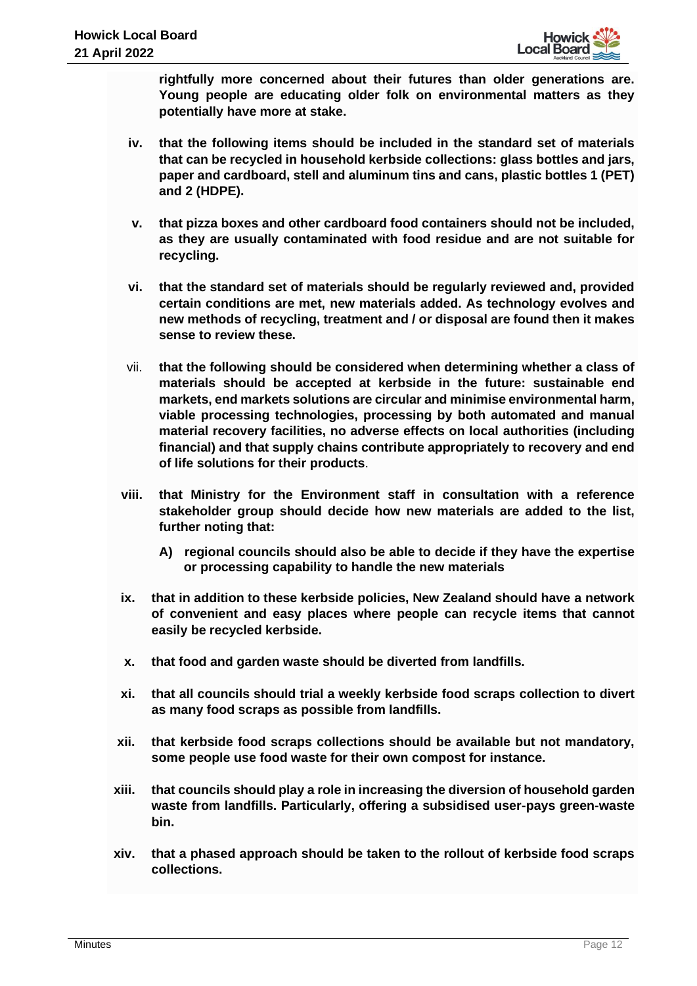**rightfully more concerned about their futures than older generations are. Young people are educating older folk on environmental matters as they potentially have more at stake.**

- **iv. that the following items should be included in the standard set of materials that can be recycled in household kerbside collections: glass bottles and jars, paper and cardboard, stell and aluminum tins and cans, plastic bottles 1 (PET) and 2 (HDPE).**
- **v. that pizza boxes and other cardboard food containers should not be included, as they are usually contaminated with food residue and are not suitable for recycling.**
- **vi. that the standard set of materials should be regularly reviewed and, provided certain conditions are met, new materials added. As technology evolves and new methods of recycling, treatment and / or disposal are found then it makes sense to review these.**
- vii. **that the following should be considered when determining whether a class of materials should be accepted at kerbside in the future: sustainable end markets, end markets solutions are circular and minimise environmental harm, viable processing technologies, processing by both automated and manual material recovery facilities, no adverse effects on local authorities (including financial) and that supply chains contribute appropriately to recovery and end of life solutions for their products**.
- **viii. that Ministry for the Environment staff in consultation with a reference stakeholder group should decide how new materials are added to the list, further noting that:** 
	- **A) regional councils should also be able to decide if they have the expertise or processing capability to handle the new materials**
- **ix. that in addition to these kerbside policies, New Zealand should have a network of convenient and easy places where people can recycle items that cannot easily be recycled kerbside.**
- **x. that food and garden waste should be diverted from landfills.**
- **xi. that all councils should trial a weekly kerbside food scraps collection to divert as many food scraps as possible from landfills.**
- **xii. that kerbside food scraps collections should be available but not mandatory, some people use food waste for their own compost for instance.**
- **xiii. that councils should play a role in increasing the diversion of household garden waste from landfills. Particularly, offering a subsidised user-pays green-waste bin.**
- **xiv. that a phased approach should be taken to the rollout of kerbside food scraps collections.**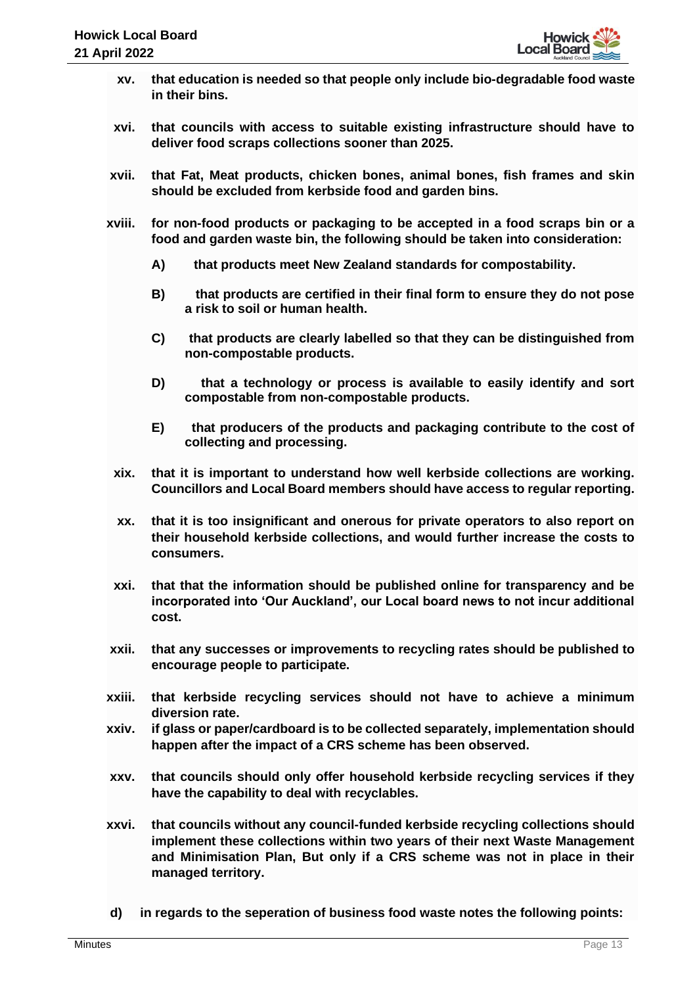- **xv. that education is needed so that people only include bio-degradable food waste in their bins.**
- **xvi. that councils with access to suitable existing infrastructure should have to deliver food scraps collections sooner than 2025.**
- **xvii. that Fat, Meat products, chicken bones, animal bones, fish frames and skin should be excluded from kerbside food and garden bins.**
- **xviii. for non-food products or packaging to be accepted in a food scraps bin or a food and garden waste bin, the following should be taken into consideration:**
	- **A) that products meet New Zealand standards for compostability.**
	- **B) that products are certified in their final form to ensure they do not pose a risk to soil or human health.**
	- **C) that products are clearly labelled so that they can be distinguished from non-compostable products.**
	- **D) that a technology or process is available to easily identify and sort compostable from non-compostable products.**
	- **E) that producers of the products and packaging contribute to the cost of collecting and processing.**
- **xix. that it is important to understand how well kerbside collections are working. Councillors and Local Board members should have access to regular reporting.**
- **xx. that it is too insignificant and onerous for private operators to also report on their household kerbside collections, and would further increase the costs to consumers.**
- **xxi. that that the information should be published online for transparency and be incorporated into 'Our Auckland', our Local board news to not incur additional cost.**
- **xxii. that any successes or improvements to recycling rates should be published to encourage people to participate.**
- **xxiii. that kerbside recycling services should not have to achieve a minimum diversion rate.**
- **xxiv. if glass or paper/cardboard is to be collected separately, implementation should happen after the impact of a CRS scheme has been observed.**
- **xxv. that councils should only offer household kerbside recycling services if they have the capability to deal with recyclables.**
- **xxvi. that councils without any council-funded kerbside recycling collections should implement these collections within two years of their next Waste Management and Minimisation Plan, But only if a CRS scheme was not in place in their managed territory.**
- **d) in regards to the seperation of business food waste notes the following points:**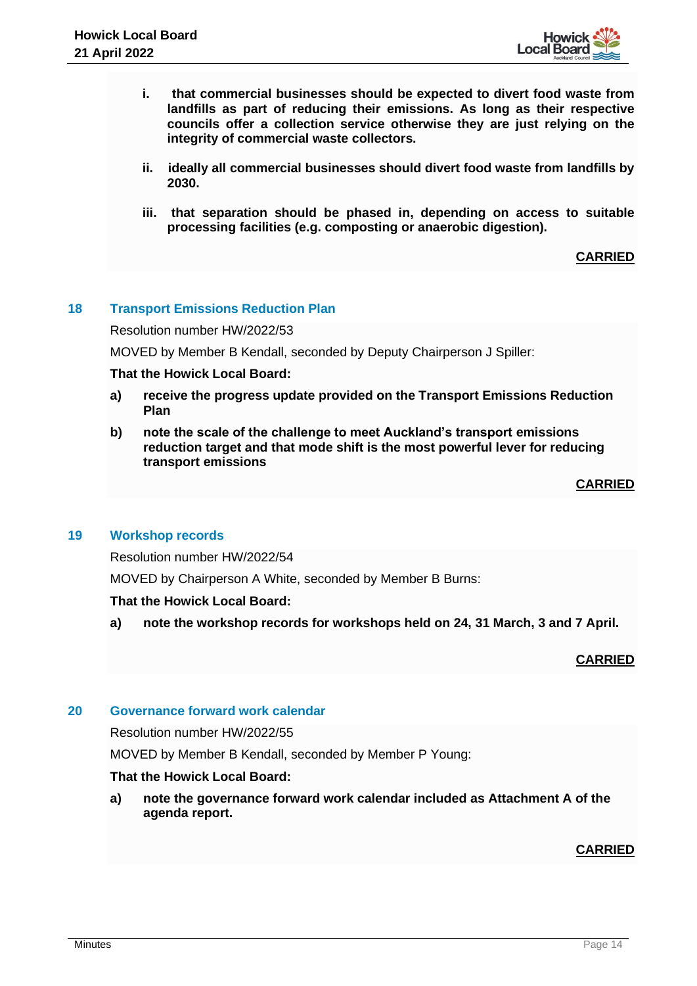

- **i. that commercial businesses should be expected to divert food waste from landfills as part of reducing their emissions. As long as their respective councils offer a collection service otherwise they are just relying on the integrity of commercial waste collectors.**
- **ii. ideally all commercial businesses should divert food waste from landfills by 2030.**
- **iii. that separation should be phased in, depending on access to suitable processing facilities (e.g. composting or anaerobic digestion).**

## **CARRIED**

## **18 Transport Emissions Reduction Plan**

Resolution number HW/2022/53

MOVED by Member B Kendall, seconded by Deputy Chairperson J Spiller:

### **That the Howick Local Board:**

- **a) receive the progress update provided on the Transport Emissions Reduction Plan**
- **b) note the scale of the challenge to meet Auckland's transport emissions reduction target and that mode shift is the most powerful lever for reducing transport emissions**

### **CARRIED**

## **19 Workshop records**

Resolution number HW/2022/54

MOVED by Chairperson A White, seconded by Member B Burns:

## **That the Howick Local Board:**

**a) note the workshop records for workshops held on 24, 31 March, 3 and 7 April.**

#### **CARRIED**

## **20 Governance forward work calendar**

Resolution number HW/2022/55

MOVED by Member B Kendall, seconded by Member P Young:

#### **That the Howick Local Board:**

**a) note the governance forward work calendar included as Attachment A of the agenda report.**

## **CARRIED**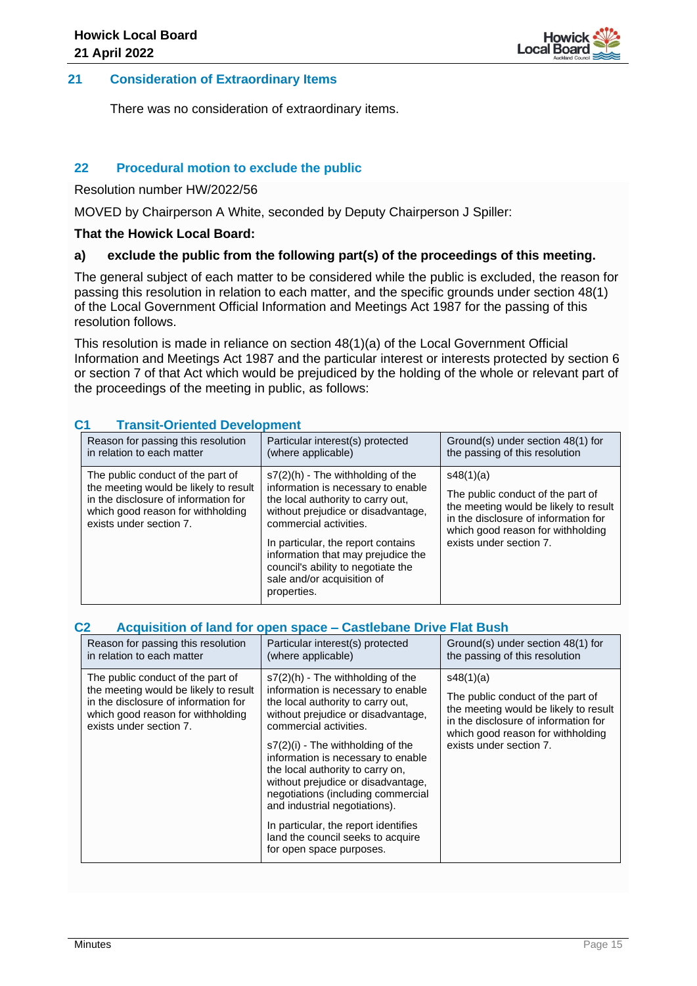

### **21 Consideration of Extraordinary Items**

There was no consideration of extraordinary items.

## **22 Procedural motion to exclude the public**

Resolution number HW/2022/56

MOVED by Chairperson A White, seconded by Deputy Chairperson J Spiller:

#### **That the Howick Local Board:**

### **a) exclude the public from the following part(s) of the proceedings of this meeting.**

The general subject of each matter to be considered while the public is excluded, the reason for passing this resolution in relation to each matter, and the specific grounds under section 48(1) of the Local Government Official Information and Meetings Act 1987 for the passing of this resolution follows.

This resolution is made in reliance on section 48(1)(a) of the Local Government Official Information and Meetings Act 1987 and the particular interest or interests protected by section 6 or section 7 of that Act which would be prejudiced by the holding of the whole or relevant part of the proceedings of the meeting in public, as follows:

## **C1 Transit-Oriented Development**

| Reason for passing this resolution                                                                                                                                                 | Particular interest(s) protected                                                                                                                                                                                                                                                                                                              | Ground(s) under section 48(1) for                                                                                                                                                               |
|------------------------------------------------------------------------------------------------------------------------------------------------------------------------------------|-----------------------------------------------------------------------------------------------------------------------------------------------------------------------------------------------------------------------------------------------------------------------------------------------------------------------------------------------|-------------------------------------------------------------------------------------------------------------------------------------------------------------------------------------------------|
| in relation to each matter                                                                                                                                                         | (where applicable)                                                                                                                                                                                                                                                                                                                            | the passing of this resolution                                                                                                                                                                  |
| The public conduct of the part of<br>the meeting would be likely to result<br>in the disclosure of information for<br>which good reason for withholding<br>exists under section 7. | $s7(2)(h)$ - The withholding of the<br>information is necessary to enable<br>the local authority to carry out,<br>without prejudice or disadvantage,<br>commercial activities.<br>In particular, the report contains<br>information that may prejudice the<br>council's ability to negotiate the<br>sale and/or acquisition of<br>properties. | s48(1)(a)<br>The public conduct of the part of<br>the meeting would be likely to result<br>in the disclosure of information for<br>which good reason for withholding<br>exists under section 7. |

#### **C2 Acquisition of land for open space – Castlebane Drive Flat Bush**

| Reason for passing this resolution                                                                                                                                                 | Particular interest(s) protected                                                                                                                                                                                                                                                                                                                                                                                                                                                                                      | Ground(s) under section 48(1) for                                                                                                                                                               |
|------------------------------------------------------------------------------------------------------------------------------------------------------------------------------------|-----------------------------------------------------------------------------------------------------------------------------------------------------------------------------------------------------------------------------------------------------------------------------------------------------------------------------------------------------------------------------------------------------------------------------------------------------------------------------------------------------------------------|-------------------------------------------------------------------------------------------------------------------------------------------------------------------------------------------------|
| in relation to each matter                                                                                                                                                         | (where applicable)                                                                                                                                                                                                                                                                                                                                                                                                                                                                                                    | the passing of this resolution                                                                                                                                                                  |
| The public conduct of the part of<br>the meeting would be likely to result<br>in the disclosure of information for<br>which good reason for withholding<br>exists under section 7. | $s7(2)(h)$ - The withholding of the<br>information is necessary to enable<br>the local authority to carry out,<br>without prejudice or disadvantage,<br>commercial activities.<br>$s7(2)(i)$ - The withholding of the<br>information is necessary to enable<br>the local authority to carry on,<br>without prejudice or disadvantage,<br>negotiations (including commercial<br>and industrial negotiations).<br>In particular, the report identifies<br>land the council seeks to acquire<br>for open space purposes. | s48(1)(a)<br>The public conduct of the part of<br>the meeting would be likely to result<br>in the disclosure of information for<br>which good reason for withholding<br>exists under section 7. |